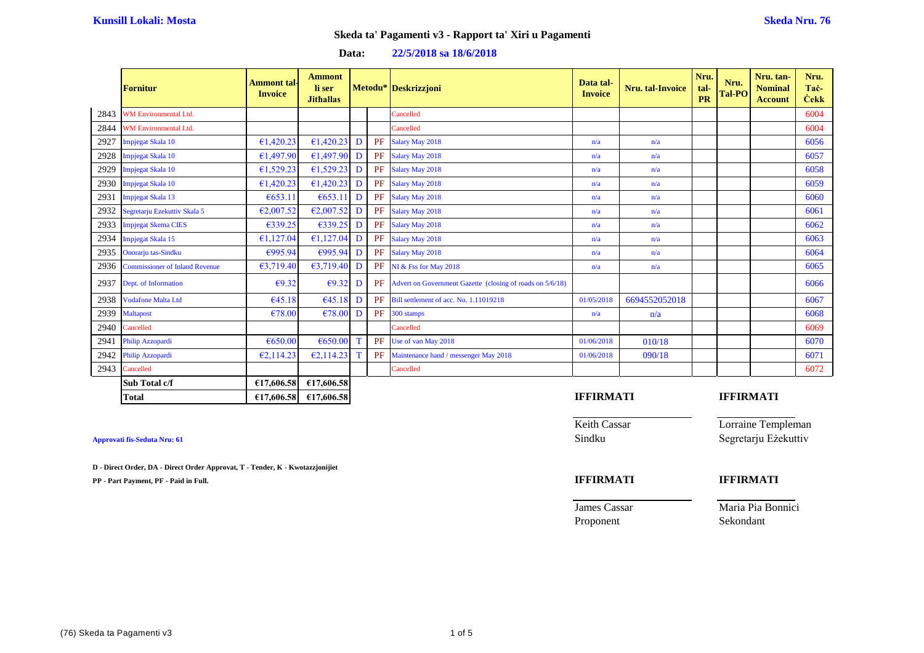## **Skeda ta' Pagamenti v3 - Rapport ta' Xiri u Pagamenti**

## **Data: 22/5/2018 sa 18/6/2018**

|      | <b>Fornitur</b>                       | Ammont tal<br><b>Invoice</b> | <b>Ammont</b><br>li ser<br><b>Jithallas</b> |              |    | Metodu* Deskrizzjoni                                      | Data tal-<br><b>Invoice</b> | <b>Nru.</b> tal-Invoice | Nru.<br>tal-<br><b>PR</b> | Nru.<br>Tal-PO | Nru. tan-<br><b>Nominal</b><br><b>Account</b> | Nru.<br>Tac-<br><b>Čekk</b> |
|------|---------------------------------------|------------------------------|---------------------------------------------|--------------|----|-----------------------------------------------------------|-----------------------------|-------------------------|---------------------------|----------------|-----------------------------------------------|-----------------------------|
| 2843 | WM Environmental Ltd.                 |                              |                                             |              |    | Cancelled                                                 |                             |                         |                           |                |                                               | 6004                        |
| 2844 | WM Environmental Ltd.                 |                              |                                             |              |    | Cancelled                                                 |                             |                         |                           |                |                                               | 6004                        |
| 2927 | Impjegat Skala 10                     | €1,420.23                    | £1,420.23                                   | D            |    | PF Salary May 2018                                        | n/a                         | n/a                     |                           |                |                                               | 6056                        |
| 2928 | Impjegat Skala 10                     | €1,497.90                    | €1,497.90                                   | D            |    | PF Salary May 2018                                        | n/a                         | n/a                     |                           |                |                                               | 6057                        |
| 2929 | Impjegat Skala 10                     | €1,529.23                    | £1,529.23                                   | D            |    | PF Salary May 2018                                        | n/a                         | n/a                     |                           |                |                                               | 6058                        |
| 2930 | <b>Impjegat Skala 10</b>              | €1,420.23                    | £1,420.23                                   | D            |    | PF Salary May 2018                                        | n/a                         | n/a                     |                           |                |                                               | 6059                        |
| 2931 | <b>Impjegat Skala 13</b>              | €653.11                      | €653.11                                     | D            |    | PF Salary May 2018                                        | n/a                         | n/a                     |                           |                |                                               | 6060                        |
| 2932 | Segretarju Ezekuttiv Skala 5          | €2,007.52                    | E2,007.52                                   | D            |    | PF Salary May 2018                                        | n/a                         | n/a                     |                           |                |                                               | 6061                        |
| 2933 | <b>Impjegat Skema CIES</b>            | €339.25                      | €339.25                                     | D            |    | PF Salary May 2018                                        | n/a                         | n/a                     |                           |                |                                               | 6062                        |
| 2934 | Impjegat Skala 15                     | €1,127.04                    | €1,127.04                                   | D            |    | PF Salary May 2018                                        | n/a                         | n/a                     |                           |                |                                               | 6063                        |
| 2935 | Onorarju tas-Sindku                   | €995.94                      | €995.94                                     | D            |    | PF Salary May 2018                                        | n/a                         | n/a                     |                           |                |                                               | 6064                        |
| 2936 | <b>Commissioner of Inland Revenue</b> | €3,719.40                    | €3,719.40                                   | D            | PF | NI & Fss for May 2018                                     | n/a                         | n/a                     |                           |                |                                               | 6065                        |
| 2937 | Dept. of Information                  | $\epsilon$ 9.32              | €9.32                                       | D            | PF | Advert on Government Gazette (closing of roads on 5/6/18) |                             |                         |                           |                |                                               | 6066                        |
| 2938 | <b>Vodafone Malta Ltd</b>             | €45.18                       | €45.18                                      | D            | PF | Bill settlement of acc. No. 1.11019218                    | 01/05/2018                  | 6694552052018           |                           |                |                                               | 6067                        |
| 2939 | <b>Maltapost</b>                      | €78.00                       | €78.00                                      | D            | PF | 300 stamps                                                | n/a                         | n/a                     |                           |                |                                               | 6068                        |
| 2940 | Cancelled                             |                              |                                             |              |    | Cancelled                                                 |                             |                         |                           |                |                                               | 6069                        |
| 2941 | Philip Azzopardi                      | €650.00                      | €650.00                                     | $\mathbf{T}$ |    | PF Use of van May 2018                                    | 01/06/2018                  | 010/18                  |                           |                |                                               | 6070                        |
| 2942 | Philip Azzopardi                      | E2,114.23                    | E2,114.23                                   |              | PF | Maintenance hand / messenger May 2018                     | 01/06/2018                  | 090/18                  |                           |                |                                               | 6071                        |
| 2943 | Cancelled                             |                              |                                             |              |    | Cancelled                                                 |                             |                         |                           |                |                                               | 6072                        |
|      | Sub Total c/f                         | €17,606.58                   | €17,606.58                                  |              |    |                                                           |                             |                         |                           |                |                                               |                             |

**D - Direct Order, DA - Direct Order Approvat, T - Tender, K - Kwotazzjonijiet**

**PP** - Part Payment, PF - Paid in Full. **IF** 

## **Total €17,606.58 €17,606.58 IFFIRMATI IFFIRMATI**

Keith Cassar **Lorraine Templeman** 

## **Approvati fis-Seduta Nru: 61** Sindku Segretarju Eżekuttiv

| IFFIRMATI    | <b>IFFIRMATI</b>  |
|--------------|-------------------|
| James Cassar | Maria Pia Bonnici |

Proponent Sekondant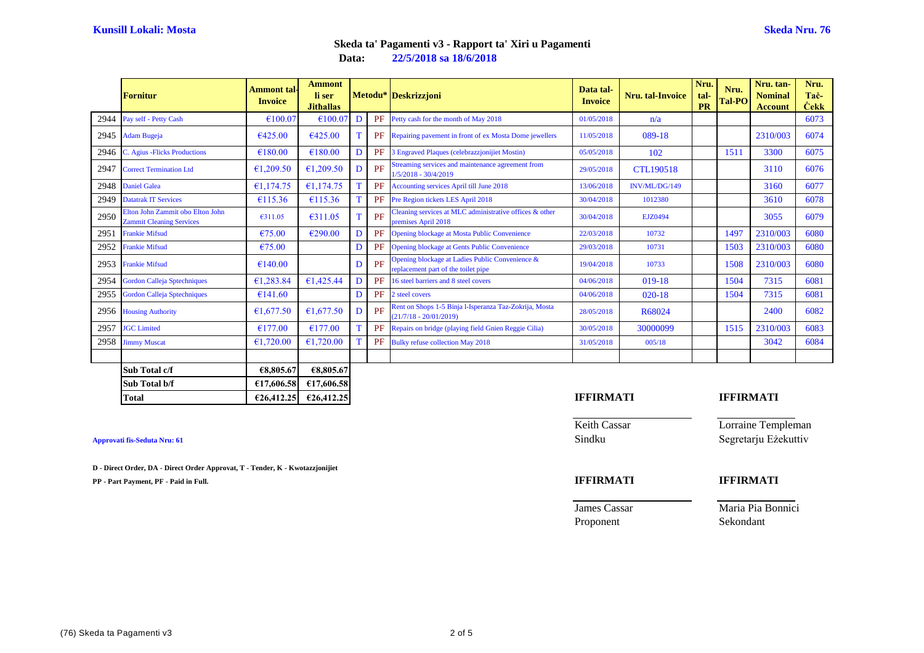|      | <b>Fornitur</b>                                                     | <b>Ammont tal-</b><br><b>Invoice</b> | Ammont<br>li ser<br><b>Jithallas</b> |   |           | Metodu* Deskrizzjoni                                                                   | Data tal-<br><b>Invoice</b> | Nru. tal-Invoice | Nru.<br>tal-<br><b>PR</b> | Nru.<br><b>Tal-PO</b> | Nru. tan-<br><b>Nominal</b><br><b>Account</b> | Nru.<br>Tač-<br><b>Cekk</b> |
|------|---------------------------------------------------------------------|--------------------------------------|--------------------------------------|---|-----------|----------------------------------------------------------------------------------------|-----------------------------|------------------|---------------------------|-----------------------|-----------------------------------------------|-----------------------------|
| 2944 | Pay self - Petty Cash                                               | €100.07                              | €100.07                              | D | PF        | Petty cash for the month of May 2018                                                   | 01/05/2018                  | n/a              |                           |                       |                                               | 6073                        |
| 2945 | <b>Adam Bugeja</b>                                                  | €425.00                              | €425.00                              |   | PF        | Repairing payement in front of ex Mosta Dome jewellers                                 | 11/05/2018                  | 089-18           |                           |                       | 2310/003                                      | 6074                        |
| 2946 | <b>C.</b> Agius - Flicks Productions                                | €180.00                              | €180.00                              | D | PF        | <b>Engraved Plaques (celebrazzjonijiet Mostin)</b>                                     | 05/05/2018                  | 102              |                           | 1511                  | 3300                                          | 6075                        |
| 2947 | <b>Correct Termination Ltd</b>                                      | €1,209.50                            | €1,209.50                            | D | PF        | Streaming services and maintenance agreement from<br>$1/5/2018 - 30/4/2019$            | 29/05/2018                  | <b>CTL190518</b> |                           |                       | 3110                                          | 6076                        |
| 2948 | <b>Daniel Galea</b>                                                 | €1,174.75                            | £1,174.75                            |   | PF        | Accounting services April till June 2018                                               | 13/06/2018                  | INV/ML/DG/149    |                           |                       | 3160                                          | 6077                        |
| 2949 | <b>Datatrak IT Services</b>                                         | €115.36                              | €115.36                              |   | <b>PF</b> | Pre Region tickets LES April 2018                                                      | 30/04/2018                  | 1012380          |                           |                       | 3610                                          | 6078                        |
| 2950 | Elton John Zammit obo Elton John<br><b>Zammit Cleaning Services</b> | €311.05                              | €311.05                              | т | PF        | Cleaning services at MLC administrative offices & other<br>premises April 2018         | 30/04/2018                  | EJZ0494          |                           |                       | 3055                                          | 6079                        |
| 2951 | <b>Frankie Mifsud</b>                                               | €75.00                               | €290.00                              | D | PF        | <b>Opening blockage at Mosta Public Convenience</b>                                    | 22/03/2018                  | 10732            |                           | 1497                  | 2310/003                                      | 6080                        |
| 2952 | <b>Frankie Mifsud</b>                                               | €75.00                               |                                      | D | PF        | <b>Opening blockage at Gents Public Convenience</b>                                    | 29/03/2018                  | 10731            |                           | 1503                  | 2310/003                                      | 6080                        |
| 2953 | <b>Frankie Mifsud</b>                                               | €140.00                              |                                      | D | PF        | Opening blockage at Ladies Public Convenience &<br>replacement part of the toilet pipe | 19/04/2018                  | 10733            |                           | 1508                  | 2310/003                                      | 6080                        |
| 2954 | <b>Gordon Calleja Sptechniques</b>                                  | €1,283.84                            | £1,425.44                            | D | <b>PF</b> | 16 steel barriers and 8 steel covers                                                   | 04/06/2018                  | 019-18           |                           | 1504                  | 7315                                          | 6081                        |
| 2955 | <b>Gordon Calleja Sptechniques</b>                                  | €141.60                              |                                      | D | <b>PF</b> | 2 steel covers                                                                         | 04/06/2018                  | $020 - 18$       |                           | 1504                  | 7315                                          | 6081                        |
| 2956 | <b>Housing Authority</b>                                            | €1,677.50                            | £1,677.50                            | D | PF        | Rent on Shops 1-5 Binja l-Isperanza Taz-Zokrija, Mosta<br>$(21/7/18 - 20/01/2019)$     | 28/05/2018                  | R68024           |                           |                       | 2400                                          | 6082                        |
| 2957 | <b>JGC</b> Limited                                                  | €177.00                              | €177.00                              |   | PF        | Repairs on bridge (playing field Gnien Reggie Cilia)                                   | 30/05/2018                  | 30000099         |                           | 1515                  | 2310/003                                      | 6083                        |
| 2958 | <b>Jimmy Muscat</b>                                                 | €1,720.00                            | €1,720.00                            |   | PF        | <b>Bulky refuse collection May 2018</b>                                                | 31/05/2018                  | 005/18           |                           |                       | 3042                                          | 6084                        |
|      |                                                                     |                                      |                                      |   |           |                                                                                        |                             |                  |                           |                       |                                               |                             |
|      | Sub Total c/f                                                       | €8,805.67                            | €8,805.67                            |   |           |                                                                                        |                             |                  |                           |                       |                                               |                             |
|      | Sub Total b/f                                                       | €17,606.58                           | €17,606.58                           |   |           |                                                                                        |                             |                  |                           |                       |                                               |                             |

| €26,412.25 €26, |  |
|-----------------|--|
|                 |  |

**D - Direct Order, DA - Direct Order Approvat, T - Tender, K - Kwotazzjonijiet**

## **Total €26,412.25 €26,412.25 IFFIRMATI IFFIRMATI** Keith Cassar **Lorraine Templeman Approvati fis-Seduta Nru: 61** Sindku Segretarju Eżekuttiv **PP - Part Payment, PF - Paid in Full. IFFIRMATI IFFIRMATI** James Cassar Maria Pia Bonnici Proponent Sekondant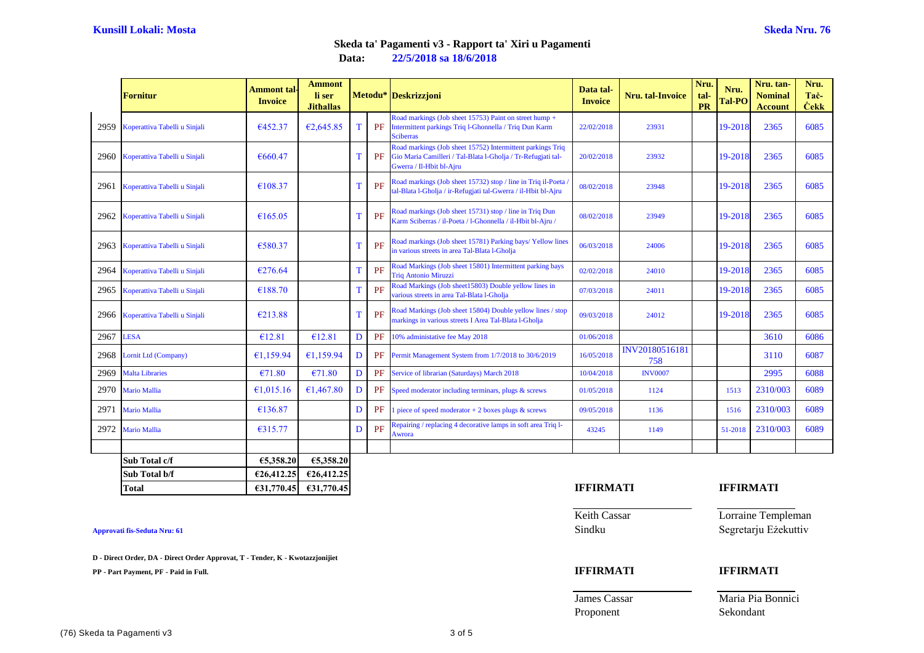|      | <b>Fornitur</b>               | Ammont tal-<br><b>Invoice</b> | <b>Ammont</b><br>li ser<br><b>Jithallas</b> |   |    | Metodu* Deskrizzjoni                                                                                                                                   | Data tal-<br><b>Invoice</b> | Nru. tal-Invoice      | Nru.<br>tal-<br><b>PR</b> | Nru.<br>Tal-PO | Nru. tan-<br><b>Nominal</b><br><b>Account</b> | Nru.<br>Tac-<br><b>Cekk</b> |
|------|-------------------------------|-------------------------------|---------------------------------------------|---|----|--------------------------------------------------------------------------------------------------------------------------------------------------------|-----------------------------|-----------------------|---------------------------|----------------|-----------------------------------------------|-----------------------------|
| 2959 | Koperattiva Tabelli u Sinjali | €452.37                       | €2,645.85                                   | T | PF | Road markings (Job sheet 15753) Paint on street hump +<br>Intermittent parkings Triq I-Ghonnella / Triq Dun Karm<br>Sciberras                          | 22/02/2018                  | 23931                 |                           | 19-2018        | 2365                                          | 6085                        |
| 2960 | Koperattiva Tabelli u Sinjali | €660.47                       |                                             | т | PF | Road markings (Job sheet 15752) Intermittent parkings Triq<br>Gio Maria Camilleri / Tal-Blata l-Gholja / Tr-Refugjati tal-<br>Gwerra / Il-Hbit bl-Ajru | 20/02/2018                  | 23932                 |                           | 19-2018        | 2365                                          | 6085                        |
| 2961 | Koperattiva Tabelli u Sinjali | €108.37                       |                                             | T | PF | Road markings (Job sheet 15732) stop / line in Triq il-Poeta<br>al-Blata l-Gholja / ir-Refugjati tal-Gwerra / il-Hbit bl-Ajru                          | 08/02/2018                  | 23948                 |                           | 19-2018        | 2365                                          | 6085                        |
| 2962 | Koperattiva Tabelli u Sinjali | €165.05                       |                                             | T | PF | Road markings (Job sheet 15731) stop / line in Triq Dun<br>Karm Sciberras / il-Poeta / l-Ghonnella / il-Hbit bl-Ajru /                                 | 08/02/2018                  | 23949                 |                           | 19-2018        | 2365                                          | 6085                        |
| 2963 | Koperattiva Tabelli u Sinjali | €580.37                       |                                             | т | PF | Road markings (Job sheet 15781) Parking bays/Yellow lines<br>in various streets in area Tal-Blata l-Gholja                                             | 06/03/2018                  | 24006                 |                           | 19-2018        | 2365                                          | 6085                        |
| 2964 | Koperattiva Tabelli u Sinjali | €276.64                       |                                             | T | PF | Road Markings (Job sheet 15801) Intermittent parking bays<br><b>Triq Antonio Miruzzi</b>                                                               | 02/02/2018                  | 24010                 |                           | 19-2018        | 2365                                          | 6085                        |
| 2965 | Koperattiva Tabelli u Sinjali | €188.70                       |                                             | T | PF | Road Markings (Job sheet15803) Double yellow lines in<br>various streets in area Tal-Blata l-Gholja                                                    | 07/03/2018                  | 24011                 |                           | 19-2018        | 2365                                          | 6085                        |
| 2966 | Koperattiva Tabelli u Sinjali | €213.88                       |                                             | т | PF | Road Markings (Job sheet 15804) Double yellow lines / stop<br>markings in various streets I Area Tal-Blata l-Gholja                                    | 09/03/2018                  | 24012                 |                           | 19-2018        | 2365                                          | 6085                        |
| 2967 | LESA                          | €12.81                        | €12.81                                      | D | PF | 10% administative fee May 2018                                                                                                                         | 01/06/2018                  |                       |                           |                | 3610                                          | 6086                        |
| 2968 | Lornit Ltd (Company)          | €1.159.94                     | €1.159.94                                   | D | PF | Permit Management System from 1/7/2018 to 30/6/2019                                                                                                    | 16/05/2018                  | INV20180516181<br>758 |                           |                | 3110                                          | 6087                        |
| 2969 | <b>Malta Libraries</b>        | €71.80                        | €71.80                                      | D | PF | Service of librarian (Saturdays) March 2018                                                                                                            | 10/04/2018                  | <b>INV0007</b>        |                           |                | 2995                                          | 6088                        |
| 2970 | <b>Mario Mallia</b>           | €1,015.16                     | €1,467.80                                   | D | PF | Speed moderator including terminars, plugs & screws                                                                                                    | 01/05/2018                  | 1124                  |                           | 1513           | 2310/003                                      | 6089                        |
| 2971 | <b>Mario Mallia</b>           | €136.87                       |                                             | D | PF | piece of speed moderator $+2$ boxes plugs & screws                                                                                                     | 09/05/2018                  | 1136                  |                           | 1516           | 2310/003                                      | 6089                        |
| 2972 | <b>Mario Mallia</b>           | €315.77                       |                                             | D | PF | Repairing / replacing 4 decorative lamps in soft area Triq l-<br>Awrora                                                                                | 43245                       | 1149                  |                           | 51-2018        | 2310/003                                      | 6089                        |
|      |                               |                               |                                             |   |    |                                                                                                                                                        |                             |                       |                           |                |                                               |                             |
|      | Sub Total c/f                 | €5,358.20                     | €5,358.20                                   |   |    |                                                                                                                                                        |                             |                       |                           |                |                                               |                             |
|      | Sub Total b/f                 | €26,412.25                    | €26,412.25                                  |   |    |                                                                                                                                                        |                             |                       |                           |                |                                               |                             |

**D - Direct Order, DA - Direct Order Approvat, T - Tender, K - Kwotazzjonijiet**

**PP - Part Payment, PF - Paid in Full. IFFIRMATI IFFIRMATI**

### **Total €31,770.45 €31,770.45 IFFIRMATI IFFIRMATI**

Keith Cassar **Lorraine Templeman Approvati fis-Seduta Nru: 61** Sindku Segretarju Eżekuttiv

Proponent Sekondant

James Cassar Maria Pia Bonnici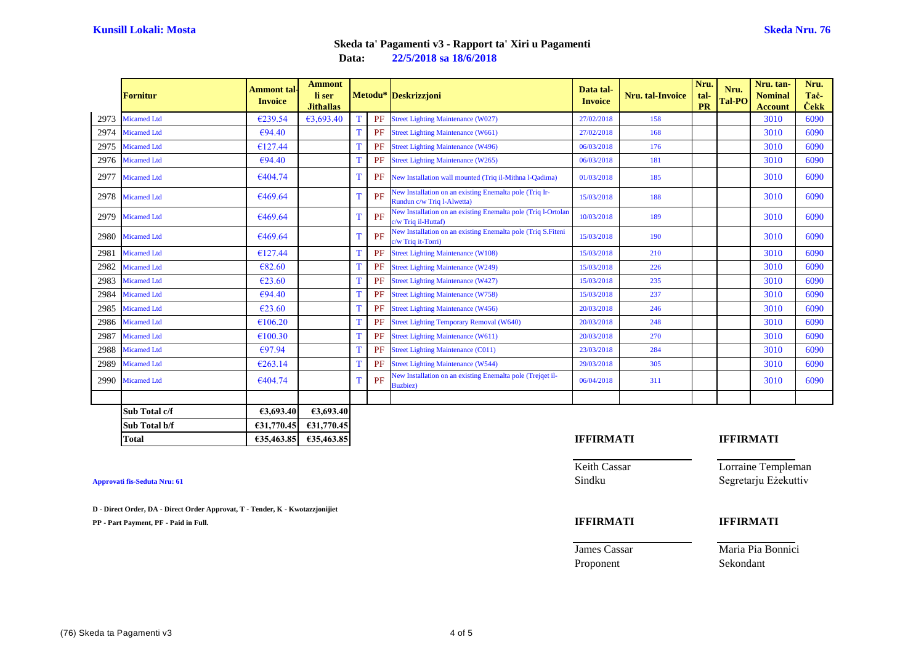|      | <b>Fornitur</b>    | <b>Ammont tal-</b><br><b>Invoice</b> | <b>Ammont</b><br>li ser<br><b>Jithallas</b> |    | Metodu* Deskrizzjoni                                                                   | Data tal-<br><b>Invoice</b> | Nru. tal-Invoice | Nru.<br>tal-<br><b>PR</b> | Nru.<br><b>Tal-PO</b> | Nru. tan-<br><b>Nominal</b><br><b>Account</b> | Nru.<br>Tac-<br><b>Cekk</b> |
|------|--------------------|--------------------------------------|---------------------------------------------|----|----------------------------------------------------------------------------------------|-----------------------------|------------------|---------------------------|-----------------------|-----------------------------------------------|-----------------------------|
| 2973 | <b>Micamed Ltd</b> | €239.54                              | 63,693.40                                   | PF | <b>Street Lighting Maintenance (W027)</b>                                              | 27/02/2018                  | 158              |                           |                       | 3010                                          | 6090                        |
| 2974 | <b>Micamed Ltd</b> | €94.40                               |                                             | PF | <b>Street Lighting Maintenance (W661)</b>                                              | 27/02/2018                  | 168              |                           |                       | 3010                                          | 6090                        |
| 2975 | Micamed Ltd        | €127.44                              |                                             | PF | <b>Street Lighting Maintenance (W496)</b>                                              | 06/03/2018                  | 176              |                           |                       | 3010                                          | 6090                        |
| 2976 | <b>Micamed Ltd</b> | €94.40                               |                                             | PF | <b>Street Lighting Maintenance (W265)</b>                                              | 06/03/2018                  | 181              |                           |                       | 3010                                          | 6090                        |
| 2977 | <b>Micamed Ltd</b> | €404.74                              |                                             | PF | New Installation wall mounted (Triq il-Mithna l-Qadima)                                | 01/03/2018                  | 185              |                           |                       | 3010                                          | 6090                        |
| 2978 | <b>Micamed Ltd</b> | €469.64                              |                                             | PF | Vew Installation on an existing Enemalta pole (Triq Ir-<br>Rundun c/w Triq l-Alwetta)  | 15/03/2018                  | 188              |                           |                       | 3010                                          | 6090                        |
| 2979 | <b>Micamed Ltd</b> | €469.64                              |                                             | PF | New Installation on an existing Enemalta pole (Triq l-Ortolan<br>$2/w$ Triq il-Huttaf) | 10/03/2018                  | 189              |                           |                       | 3010                                          | 6090                        |
| 2980 | <b>Micamed Ltd</b> | €469.64                              |                                             | PF | New Installation on an existing Enemalta pole (Triq S. Fiteni<br>x/w Triq it-Torri)    | 15/03/2018                  | 190              |                           |                       | 3010                                          | 6090                        |
| 2981 | <b>Micamed Ltd</b> | €127.44                              |                                             | PF | <b>Street Lighting Maintenance (W108)</b>                                              | 15/03/2018                  | 210              |                           |                       | 3010                                          | 6090                        |
| 2982 | <b>Micamed Ltd</b> | €82.60                               |                                             | PF | <b>Street Lighting Maintenance (W249)</b>                                              | 15/03/2018                  | 226              |                           |                       | 3010                                          | 6090                        |
| 2983 | <b>Micamed Ltd</b> | €23.60                               |                                             | PF | <b>Street Lighting Maintenance (W427)</b>                                              | 15/03/2018                  | 235              |                           |                       | 3010                                          | 6090                        |
| 2984 | <b>Micamed Ltd</b> | €94.40                               |                                             | PF | <b>Street Lighting Maintenance (W758)</b>                                              | 15/03/2018                  | 237              |                           |                       | 3010                                          | 6090                        |
| 2985 | <b>Micamed Ltd</b> | €23.60                               |                                             | PF | <b>Street Lighting Maintenance (W456)</b>                                              | 20/03/2018                  | 246              |                           |                       | 3010                                          | 6090                        |
| 2986 | Micamed Ltd        | €106.20                              |                                             | PF | <b>Street Lighting Temporary Removal (W640)</b>                                        | 20/03/2018                  | 248              |                           |                       | 3010                                          | 6090                        |
| 2987 | <b>Micamed Ltd</b> | €100.30                              |                                             | PF | <b>Street Lighting Maintenance (W611)</b>                                              | 20/03/2018                  | 270              |                           |                       | 3010                                          | 6090                        |
| 2988 | <b>Micamed Ltd</b> | €97.94                               |                                             | PF | <b>Street Lighting Maintenance (C011)</b>                                              | 23/03/2018                  | 284              |                           |                       | 3010                                          | 6090                        |
| 2989 | <b>Micamed Ltd</b> | €263.14                              |                                             | PF | <b>Street Lighting Maintenance (W544)</b>                                              | 29/03/2018                  | 305              |                           |                       | 3010                                          | 6090                        |
| 2990 | <b>Micamed Ltd</b> | €404.74                              |                                             | PF | Vew Installation on an existing Enemalta pole (Trejqet il-<br><b>Buzbiez</b> )         | 06/04/2018                  | 311              |                           |                       | 3010                                          | 6090                        |
|      |                    |                                      |                                             |    |                                                                                        |                             |                  |                           |                       |                                               |                             |
|      | Sub Total c/f      | €3.693.40                            | €3.693.40                                   |    |                                                                                        |                             |                  |                           |                       |                                               |                             |
|      | Sub Total b/f      | €31,770.45                           | €31,770.45                                  |    |                                                                                        |                             |                  |                           |                       |                                               |                             |
|      | <b>Total</b>       | €35,463.85                           | €35,463.85                                  |    |                                                                                        | <b>IFFIRMATI</b>            |                  |                           | <b>IFFIRMATI</b>      |                                               |                             |

**Approvati fis-Seduta Nru: 61** 

**D - Direct Order, DA - Direct Order Approvat, T - Tender, K - Kwotazzjonijiet**

**PP** - Part Payment, PF - Paid in Full.

| <b>IFFIRMATI</b>       | <b>IFFIRMATI</b>                           |
|------------------------|--------------------------------------------|
| Keith Cassar<br>Sindku | Lorraine Templeman<br>Segretarju Eżekuttiv |
| <b>IFFIRMATI</b>       | <b>IFFIRMATI</b>                           |
| James Cassar           | Maria Pia Bonnici                          |

Proponent Sekondant